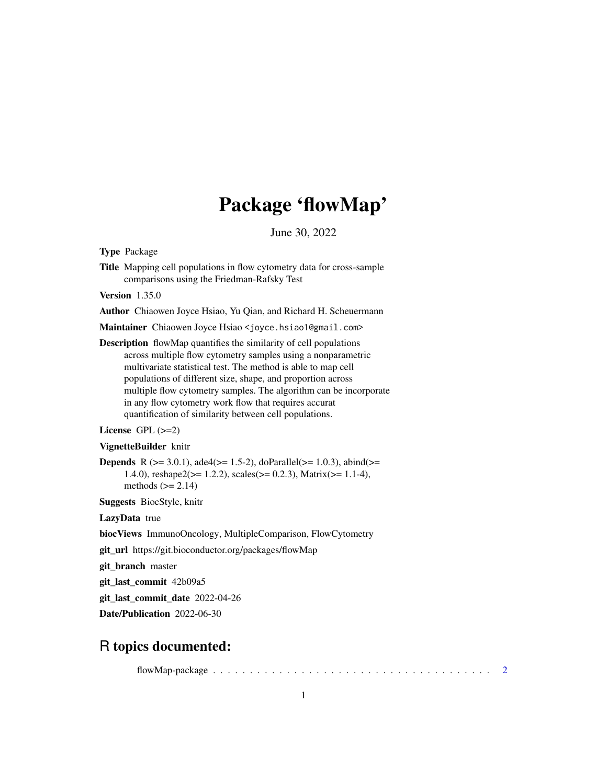# Package 'flowMap'

June 30, 2022

Type Package

Title Mapping cell populations in flow cytometry data for cross-sample comparisons using the Friedman-Rafsky Test

Version 1.35.0

Author Chiaowen Joyce Hsiao, Yu Qian, and Richard H. Scheuermann

Maintainer Chiaowen Joyce Hsiao <joyce.hsiao1@gmail.com>

Description flowMap quantifies the similarity of cell populations across multiple flow cytometry samples using a nonparametric multivariate statistical test. The method is able to map cell populations of different size, shape, and proportion across multiple flow cytometry samples. The algorithm can be incorporate in any flow cytometry work flow that requires accurat quantification of similarity between cell populations.

#### License GPL  $(>=2)$

#### VignetteBuilder knitr

**Depends** R ( $>= 3.0.1$ ), ade4( $>= 1.5-2$ ), doParallel( $>= 1.0.3$ ), abind( $>=$ 1.4.0), reshape2( $>= 1.2.2$ ), scales( $>= 0.2.3$ ), Matrix( $>= 1.1-4$ ), methods  $(>= 2.14)$ 

Suggests BiocStyle, knitr

LazyData true

biocViews ImmunoOncology, MultipleComparison, FlowCytometry

git\_url https://git.bioconductor.org/packages/flowMap

git\_branch master

git\_last\_commit 42b09a5

git\_last\_commit\_date 2022-04-26

Date/Publication 2022-06-30

# R topics documented:

flowMap-package . . . . . . . . . . . . . . . . . . . . . . . . . . . . . . . . . . . . . . [2](#page-1-0)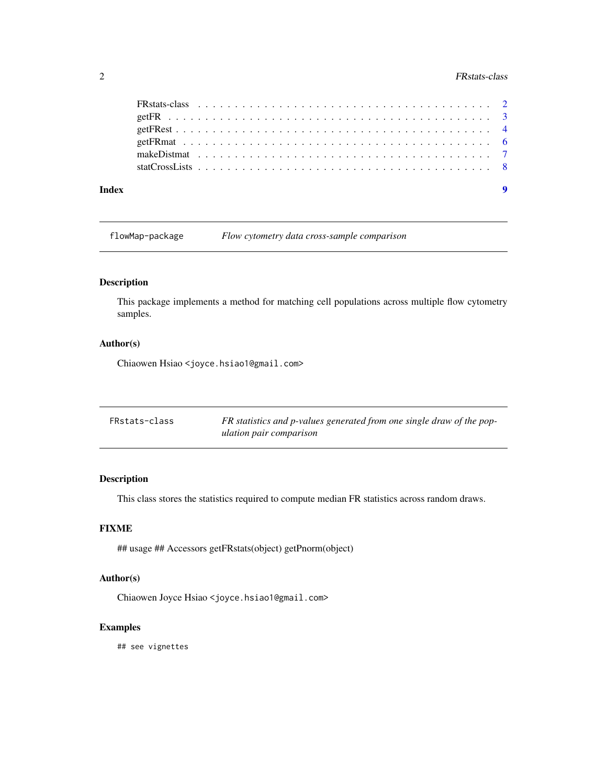# <span id="page-1-0"></span>2 **PRStats-class**

| Index |  |  |  |  |  |  |  |  |  |  |  |  |  |  |  |  |  |  |  |  |
|-------|--|--|--|--|--|--|--|--|--|--|--|--|--|--|--|--|--|--|--|--|

flowMap-package *Flow cytometry data cross-sample comparison*

## Description

This package implements a method for matching cell populations across multiple flow cytometry samples.

# Author(s)

Chiaowen Hsiao <joyce.hsiao1@gmail.com>

| FRstats-class | FR statistics and p-values generated from one single draw of the pop- |
|---------------|-----------------------------------------------------------------------|
|               | ulation pair comparison                                               |

# Description

This class stores the statistics required to compute median FR statistics across random draws.

# FIXME

## usage ## Accessors getFRstats(object) getPnorm(object)

### Author(s)

Chiaowen Joyce Hsiao <joyce.hsiao1@gmail.com>

#### Examples

## see vignettes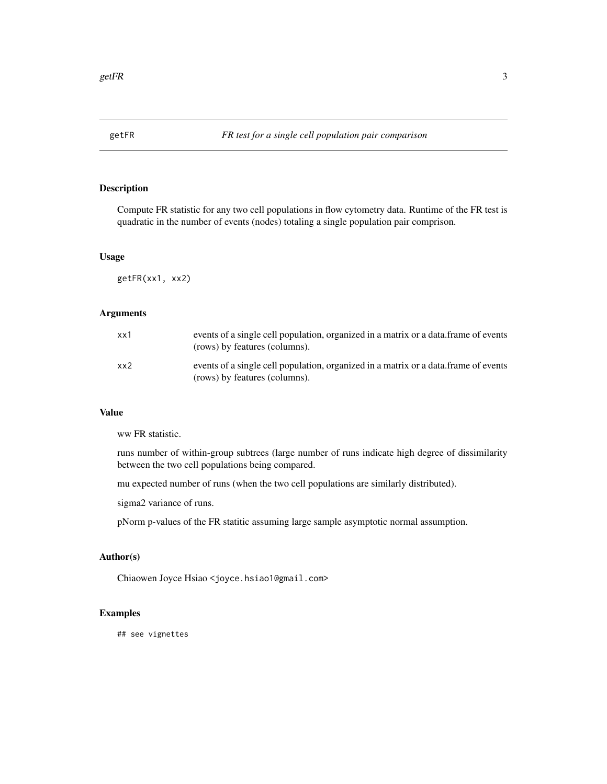<span id="page-2-0"></span>

# Description

Compute FR statistic for any two cell populations in flow cytometry data. Runtime of the FR test is quadratic in the number of events (nodes) totaling a single population pair comprison.

#### Usage

getFR(xx1, xx2)

#### Arguments

| $x \times 1$ | events of a single cell population, organized in a matrix or a data frame of events<br>(rows) by features (columns). |
|--------------|----------------------------------------------------------------------------------------------------------------------|
| xx2          | events of a single cell population, organized in a matrix or a data frame of events<br>(rows) by features (columns). |

#### Value

ww FR statistic.

runs number of within-group subtrees (large number of runs indicate high degree of dissimilarity between the two cell populations being compared.

mu expected number of runs (when the two cell populations are similarly distributed).

sigma2 variance of runs.

pNorm p-values of the FR statitic assuming large sample asymptotic normal assumption.

#### Author(s)

Chiaowen Joyce Hsiao <joyce.hsiao1@gmail.com>

#### Examples

## see vignettes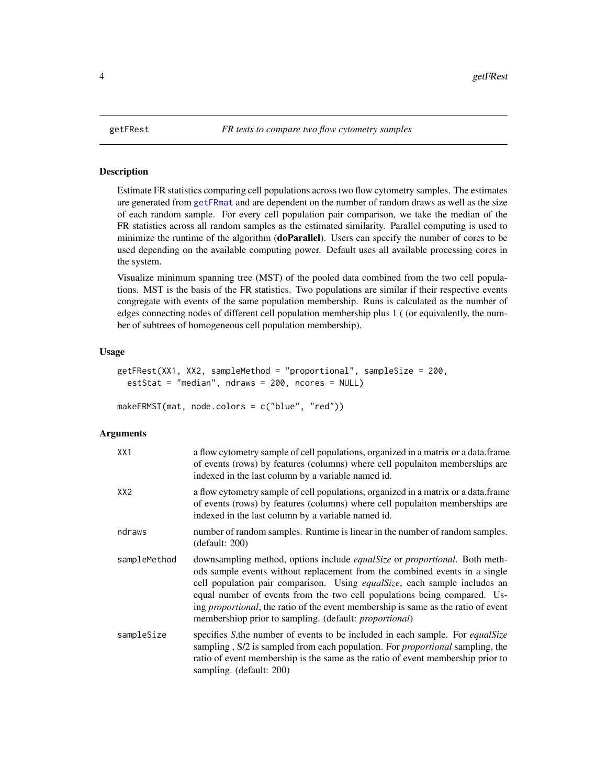#### Description

Estimate FR statistics comparing cell populations across two flow cytometry samples. The estimates are generated from [getFRmat](#page-5-1) and are dependent on the number of random draws as well as the size of each random sample. For every cell population pair comparison, we take the median of the FR statistics across all random samples as the estimated similarity. Parallel computing is used to minimize the runtime of the algorithm (doParallel). Users can specify the number of cores to be used depending on the available computing power. Default uses all available processing cores in the system.

Visualize minimum spanning tree (MST) of the pooled data combined from the two cell populations. MST is the basis of the FR statistics. Two populations are similar if their respective events congregate with events of the same population membership. Runs is calculated as the number of edges connecting nodes of different cell population membership plus 1 ( (or equivalently, the number of subtrees of homogeneous cell population membership).

#### Usage

```
getFRest(XX1, XX2, sampleMethod = "proportional", sampleSize = 200,
estStat = "median", ndraws = 200, ncores = NULL)
```

```
makeFRMST(mat, node.colors = c("blue", "red"))
```
#### Arguments

| XX1          | a flow cytometry sample of cell populations, organized in a matrix or a data.frame<br>of events (rows) by features (columns) where cell populaiton memberships are<br>indexed in the last column by a variable named id.                                                                                                                                                                                                                                                                |
|--------------|-----------------------------------------------------------------------------------------------------------------------------------------------------------------------------------------------------------------------------------------------------------------------------------------------------------------------------------------------------------------------------------------------------------------------------------------------------------------------------------------|
| XX2          | a flow cytometry sample of cell populations, organized in a matrix or a data.frame<br>of events (rows) by features (columns) where cell populaiton memberships are<br>indexed in the last column by a variable named id.                                                                                                                                                                                                                                                                |
| ndraws       | number of random samples. Runtime is linear in the number of random samples.<br>(default: 200)                                                                                                                                                                                                                                                                                                                                                                                          |
| sampleMethod | downsampling method, options include <i>equalSize</i> or <i>proportional</i> . Both meth-<br>ods sample events without replacement from the combined events in a single<br>cell population pair comparison. Using equalSize, each sample includes an<br>equal number of events from the two cell populations being compared. Us-<br>ing <i>proportional</i> , the ratio of the event membership is same as the ratio of event<br>membershiop prior to sampling. (default: proportional) |
| sampleSize   | specifies S, the number of events to be included in each sample. For <i>equalSize</i><br>sampling, S/2 is sampled from each population. For <i>proportional</i> sampling, the<br>ratio of event membership is the same as the ratio of event membership prior to<br>sampling. (default: 200)                                                                                                                                                                                            |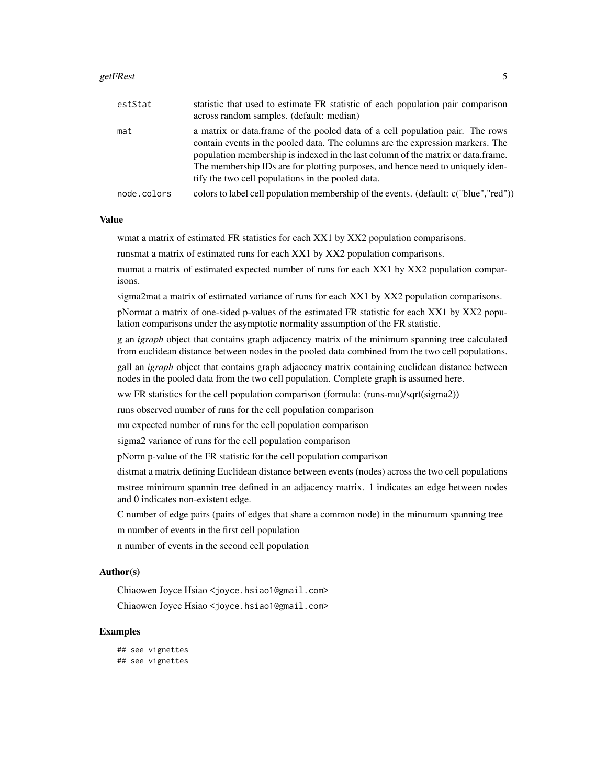#### getFRest 5

| estStat     | statistic that used to estimate FR statistic of each population pair comparison<br>across random samples. (default: median)                                                                                                                                                                                                                                                                |
|-------------|--------------------------------------------------------------------------------------------------------------------------------------------------------------------------------------------------------------------------------------------------------------------------------------------------------------------------------------------------------------------------------------------|
| mat         | a matrix or data.frame of the pooled data of a cell population pair. The rows<br>contain events in the pooled data. The columns are the expression markers. The<br>population membership is indexed in the last column of the matrix or data.frame.<br>The membership IDs are for plotting purposes, and hence need to uniquely iden-<br>tify the two cell populations in the pooled data. |
| node.colors | colors to label cell population membership of the events. (default: c("blue","red"))                                                                                                                                                                                                                                                                                                       |

#### Value

wmat a matrix of estimated FR statistics for each XX1 by XX2 population comparisons.

runsmat a matrix of estimated runs for each XX1 by XX2 population comparisons.

mumat a matrix of estimated expected number of runs for each XX1 by XX2 population comparisons.

sigma2mat a matrix of estimated variance of runs for each XX1 by XX2 population comparisons.

pNormat a matrix of one-sided p-values of the estimated FR statistic for each XX1 by XX2 population comparisons under the asymptotic normality assumption of the FR statistic.

g an *igraph* object that contains graph adjacency matrix of the minimum spanning tree calculated from euclidean distance between nodes in the pooled data combined from the two cell populations.

gall an *igraph* object that contains graph adjacency matrix containing euclidean distance between nodes in the pooled data from the two cell population. Complete graph is assumed here.

ww FR statistics for the cell population comparison (formula: (runs-mu)/sqrt(sigma2))

runs observed number of runs for the cell population comparison

mu expected number of runs for the cell population comparison

sigma2 variance of runs for the cell population comparison

pNorm p-value of the FR statistic for the cell population comparison

distmat a matrix defining Euclidean distance between events (nodes) across the two cell populations mstree minimum spannin tree defined in an adjacency matrix. 1 indicates an edge between nodes and 0 indicates non-existent edge.

C number of edge pairs (pairs of edges that share a common node) in the minumum spanning tree m number of events in the first cell population

n number of events in the second cell population

#### Author(s)

Chiaowen Joyce Hsiao <joyce.hsiao1@gmail.com>

Chiaowen Joyce Hsiao <joyce.hsiao1@gmail.com>

#### Examples

## see vignettes ## see vignettes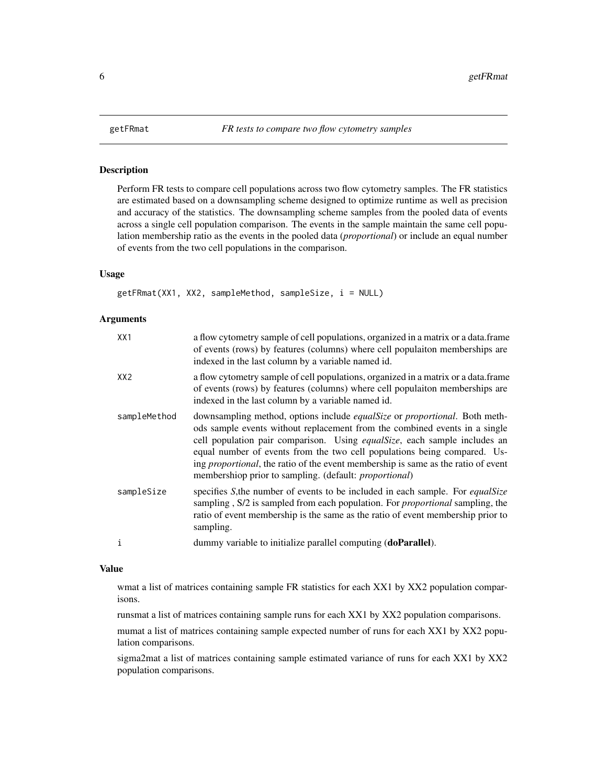<span id="page-5-1"></span><span id="page-5-0"></span>

#### Description

Perform FR tests to compare cell populations across two flow cytometry samples. The FR statistics are estimated based on a downsampling scheme designed to optimize runtime as well as precision and accuracy of the statistics. The downsampling scheme samples from the pooled data of events across a single cell population comparison. The events in the sample maintain the same cell population membership ratio as the events in the pooled data (*proportional*) or include an equal number of events from the two cell populations in the comparison.

#### Usage

getFRmat(XX1, XX2, sampleMethod, sampleSize, i = NULL)

#### Arguments

| XX1             | a flow cytometry sample of cell populations, organized in a matrix or a data.frame<br>of events (rows) by features (columns) where cell populaiton memberships are<br>indexed in the last column by a variable named id.                                                                                                                                                                                                                                                                        |
|-----------------|-------------------------------------------------------------------------------------------------------------------------------------------------------------------------------------------------------------------------------------------------------------------------------------------------------------------------------------------------------------------------------------------------------------------------------------------------------------------------------------------------|
| XX <sub>2</sub> | a flow cytometry sample of cell populations, organized in a matrix or a data.frame<br>of events (rows) by features (columns) where cell populaiton memberships are<br>indexed in the last column by a variable named id.                                                                                                                                                                                                                                                                        |
| sampleMethod    | downsampling method, options include <i>equalSize</i> or <i>proportional</i> . Both meth-<br>ods sample events without replacement from the combined events in a single<br>cell population pair comparison. Using equalSize, each sample includes an<br>equal number of events from the two cell populations being compared. Us-<br>ing <i>proportional</i> , the ratio of the event membership is same as the ratio of event<br>membershiop prior to sampling. (default: <i>proportional</i> ) |
| sampleSize      | specifies S, the number of events to be included in each sample. For <i>equalsize</i><br>sampling, S/2 is sampled from each population. For <i>proportional</i> sampling, the<br>ratio of event membership is the same as the ratio of event membership prior to<br>sampling.                                                                                                                                                                                                                   |
| i               | dummy variable to initialize parallel computing (doParallel).                                                                                                                                                                                                                                                                                                                                                                                                                                   |

#### Value

wmat a list of matrices containing sample FR statistics for each XX1 by XX2 population comparisons.

runsmat a list of matrices containing sample runs for each XX1 by XX2 population comparisons.

mumat a list of matrices containing sample expected number of runs for each XX1 by XX2 population comparisons.

sigma2mat a list of matrices containing sample estimated variance of runs for each XX1 by XX2 population comparisons.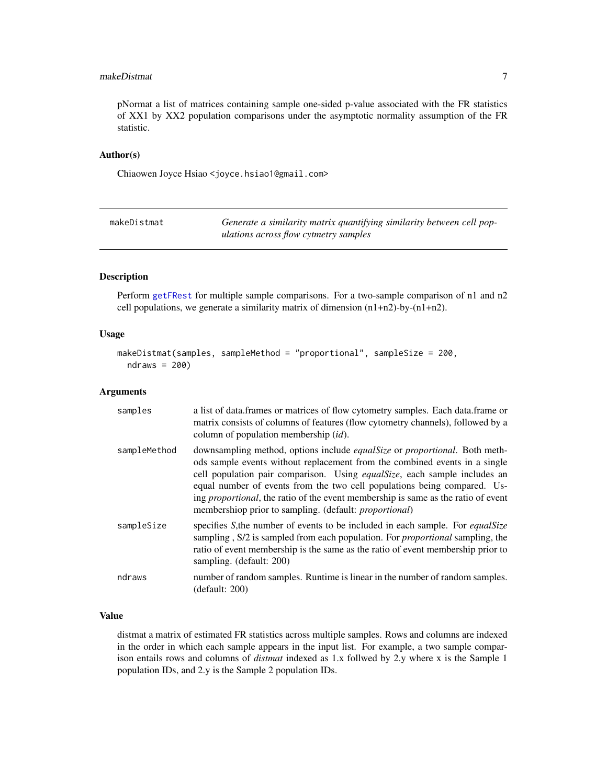#### <span id="page-6-0"></span>makeDistmat 7

pNormat a list of matrices containing sample one-sided p-value associated with the FR statistics of XX1 by XX2 population comparisons under the asymptotic normality assumption of the FR statistic.

# Author(s)

Chiaowen Joyce Hsiao <joyce.hsiao1@gmail.com>

| makeDistmat | Generate a similarity matrix quantifying similarity between cell pop- |
|-------------|-----------------------------------------------------------------------|
|             | ulations across flow cytmetry samples                                 |

### Description

Perform [getFRest](#page-3-1) for multiple sample comparisons. For a two-sample comparison of n1 and n2 cell populations, we generate a similarity matrix of dimension (n1+n2)-by-(n1+n2).

#### Usage

```
makeDistmat(samples, sampleMethod = "proportional", sampleSize = 200,
 ndraws = 200)
```
#### Arguments

| samples      | a list of data. frames or matrices of flow cytometry samples. Each data. frame or<br>matrix consists of columns of features (flow cytometry channels), followed by a<br>column of population membership $(id)$ .                                                                                                                                                                                                                                                                                |
|--------------|-------------------------------------------------------------------------------------------------------------------------------------------------------------------------------------------------------------------------------------------------------------------------------------------------------------------------------------------------------------------------------------------------------------------------------------------------------------------------------------------------|
| sampleMethod | downsampling method, options include <i>equalSize</i> or <i>proportional</i> . Both meth-<br>ods sample events without replacement from the combined events in a single<br>cell population pair comparison. Using equalSize, each sample includes an<br>equal number of events from the two cell populations being compared. Us-<br>ing <i>proportional</i> , the ratio of the event membership is same as the ratio of event<br>membershiop prior to sampling. (default: <i>proportional</i> ) |
| sampleSize   | specifies S, the number of events to be included in each sample. For <i>equalSize</i><br>sampling, S/2 is sampled from each population. For <i>proportional</i> sampling, the<br>ratio of event membership is the same as the ratio of event membership prior to<br>sampling. (default: 200)                                                                                                                                                                                                    |
| ndraws       | number of random samples. Runtime is linear in the number of random samples.<br>(detault: 200)                                                                                                                                                                                                                                                                                                                                                                                                  |

## Value

distmat a matrix of estimated FR statistics across multiple samples. Rows and columns are indexed in the order in which each sample appears in the input list. For example, a two sample comparison entails rows and columns of *distmat* indexed as 1.x follwed by 2.y where x is the Sample 1 population IDs, and 2.y is the Sample 2 population IDs.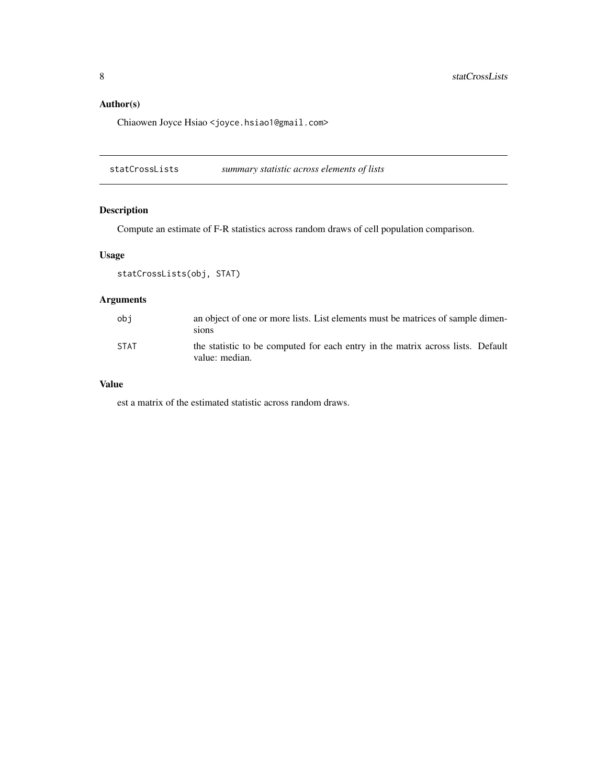# <span id="page-7-0"></span>Author(s)

Chiaowen Joyce Hsiao <joyce.hsiao1@gmail.com>

statCrossLists *summary statistic across elements of lists*

# Description

Compute an estimate of F-R statistics across random draws of cell population comparison.

## Usage

```
statCrossLists(obj, STAT)
```
# Arguments

| obi         | an object of one or more lists. List elements must be matrices of sample dimen-<br>sions          |
|-------------|---------------------------------------------------------------------------------------------------|
| <b>STAT</b> | the statistic to be computed for each entry in the matrix across lists. Default<br>value: median. |

#### Value

est a matrix of the estimated statistic across random draws.